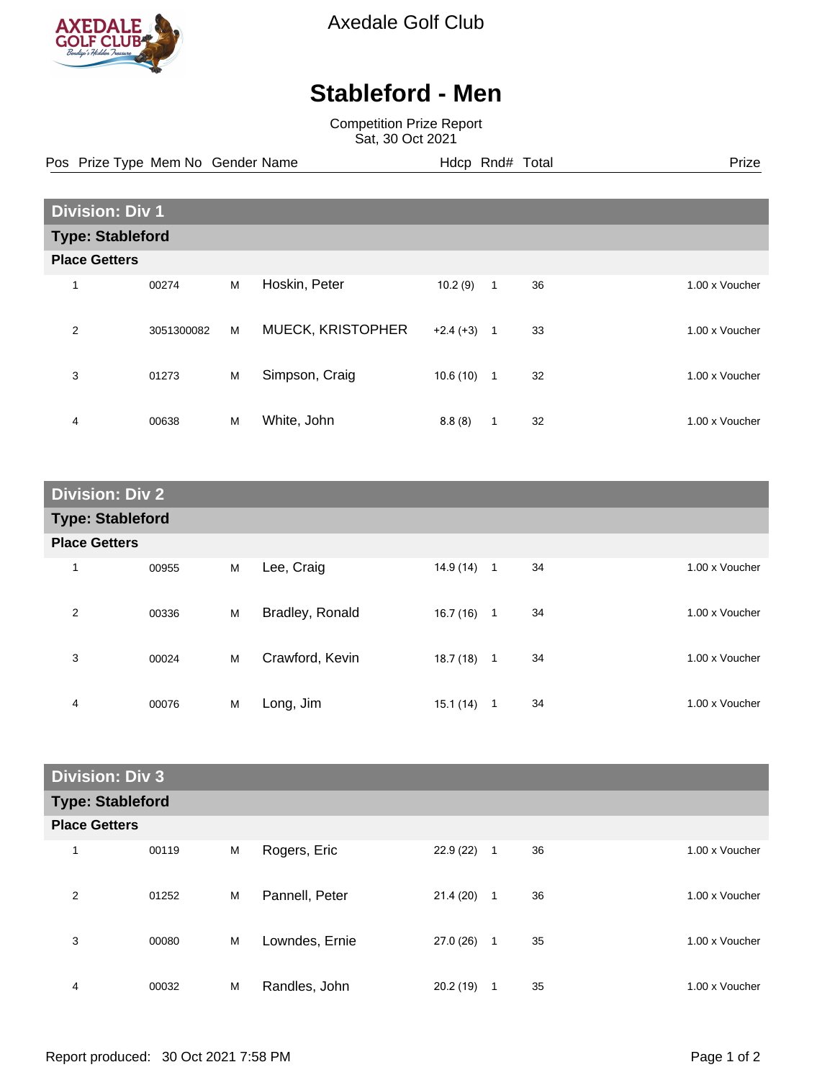

Axedale Golf Club

## **Stableford - Men**

Competition Prize Report Sat, 30 Oct 2021

Pos Prize Type Mem No Gender Name **Hdcp Rnd# Total** Prize Prize

| <b>Division: Div 1</b>  |            |   |                   |            |                |    |                |
|-------------------------|------------|---|-------------------|------------|----------------|----|----------------|
| <b>Type: Stableford</b> |            |   |                   |            |                |    |                |
| <b>Place Getters</b>    |            |   |                   |            |                |    |                |
| 1                       | 00274      | M | Hoskin, Peter     | 10.2(9)    | 1              | 36 | 1.00 x Voucher |
| 2                       | 3051300082 | M | MUECK, KRISTOPHER | $+2.4(+3)$ | $\overline{1}$ | 33 | 1.00 x Voucher |
| 3                       | 01273      | M | Simpson, Craig    | 10.6(10)   | $\overline{1}$ | 32 | 1.00 x Voucher |
| 4                       | 00638      | M | White, John       | 8.8(8)     | 1              | 32 | 1.00 x Voucher |

| <b>Division: Div 2</b>  |       |   |                 |           |                |    |                |
|-------------------------|-------|---|-----------------|-----------|----------------|----|----------------|
| <b>Type: Stableford</b> |       |   |                 |           |                |    |                |
| <b>Place Getters</b>    |       |   |                 |           |                |    |                |
| 1                       | 00955 | M | Lee, Craig      | 14.9 (14) | $\overline{1}$ | 34 | 1.00 x Voucher |
| 2                       | 00336 | M | Bradley, Ronald | 16.7(16)  | $\mathbf{1}$   | 34 | 1.00 x Voucher |
| 3                       | 00024 | М | Crawford, Kevin | 18.7(18)  | $\mathbf{1}$   | 34 | 1.00 x Voucher |
| 4                       | 00076 | M | Long, Jim       | 15.1 (14) | 1              | 34 | 1.00 x Voucher |

| <b>Division: Div 3</b>  |       |   |                |           |              |    |  |                |
|-------------------------|-------|---|----------------|-----------|--------------|----|--|----------------|
| <b>Type: Stableford</b> |       |   |                |           |              |    |  |                |
| <b>Place Getters</b>    |       |   |                |           |              |    |  |                |
| 1                       | 00119 | M | Rogers, Eric   | 22.9(22)  | 1            | 36 |  | 1.00 x Voucher |
| 2                       | 01252 | M | Pannell, Peter | 21.4(20)  | $\mathbf{1}$ | 36 |  | 1.00 x Voucher |
| 3                       | 00080 | M | Lowndes, Ernie | 27.0 (26) | $\mathbf{1}$ | 35 |  | 1.00 x Voucher |
| 4                       | 00032 | M | Randles, John  | 20.2(19)  | 1            | 35 |  | 1.00 x Voucher |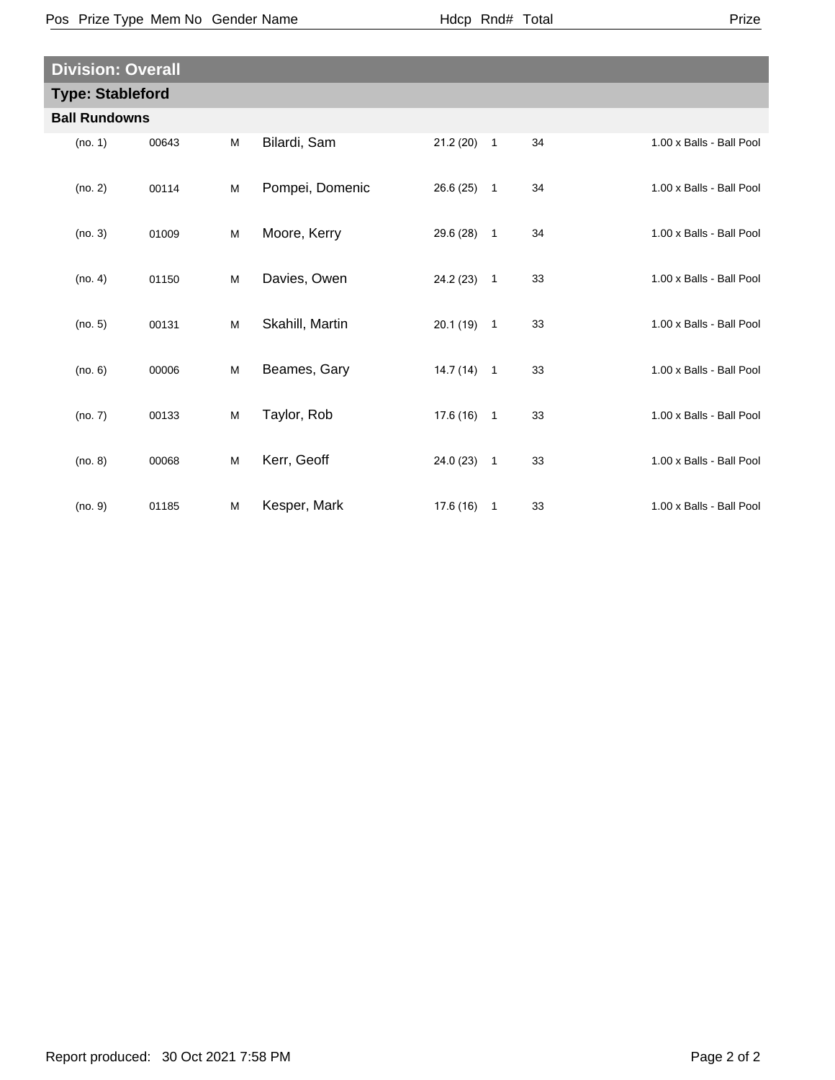|--|

|                         | <b>Division: Overall</b> |   |                 |              |              |    |                          |  |
|-------------------------|--------------------------|---|-----------------|--------------|--------------|----|--------------------------|--|
| <b>Type: Stableford</b> |                          |   |                 |              |              |    |                          |  |
| <b>Ball Rundowns</b>    |                          |   |                 |              |              |    |                          |  |
| (no. 1)                 | 00643                    | M | Bilardi, Sam    | 21.2(20)     | $\mathbf{1}$ | 34 | 1.00 x Balls - Ball Pool |  |
| (no. 2)                 | 00114                    | M | Pompei, Domenic | 26.6(25)     | $\mathbf{1}$ | 34 | 1.00 x Balls - Ball Pool |  |
| (no. 3)                 | 01009                    | M | Moore, Kerry    | 29.6 (28) 1  |              | 34 | 1.00 x Balls - Ball Pool |  |
| (no. 4)                 | 01150                    | M | Davies, Owen    | $24.2(23)$ 1 |              | 33 | 1.00 x Balls - Ball Pool |  |
| (no. 5)                 | 00131                    | M | Skahill, Martin | $20.1(19)$ 1 |              | 33 | 1.00 x Balls - Ball Pool |  |
| (no. 6)                 | 00006                    | M | Beames, Gary    | $14.7(14)$ 1 |              | 33 | 1.00 x Balls - Ball Pool |  |
| (no. 7)                 | 00133                    | M | Taylor, Rob     | $17.6(16)$ 1 |              | 33 | 1.00 x Balls - Ball Pool |  |
| (no. 8)                 | 00068                    | M | Kerr, Geoff     | 24.0 (23) 1  |              | 33 | 1.00 x Balls - Ball Pool |  |
| (no. 9)                 | 01185                    | M | Kesper, Mark    | $17.6(16)$ 1 |              | 33 | 1.00 x Balls - Ball Pool |  |